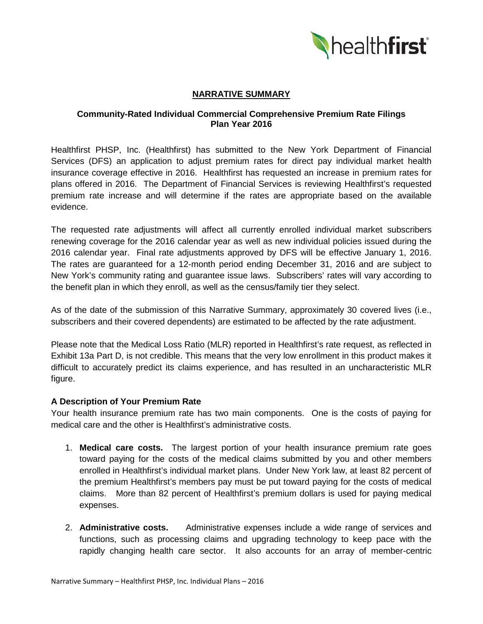

# **NARRATIVE SUMMARY**

## **Community-Rated Individual Commercial Comprehensive Premium Rate Filings Plan Year 2016**

Healthfirst PHSP, Inc. (Healthfirst) has submitted to the New York Department of Financial Services (DFS) an application to adjust premium rates for direct pay individual market health insurance coverage effective in 2016. Healthfirst has requested an increase in premium rates for plans offered in 2016. The Department of Financial Services is reviewing Healthfirst's requested premium rate increase and will determine if the rates are appropriate based on the available evidence.

The requested rate adjustments will affect all currently enrolled individual market subscribers renewing coverage for the 2016 calendar year as well as new individual policies issued during the 2016 calendar year. Final rate adjustments approved by DFS will be effective January 1, 2016. The rates are guaranteed for a 12-month period ending December 31, 2016 and are subject to New York's community rating and guarantee issue laws. Subscribers' rates will vary according to the benefit plan in which they enroll, as well as the census/family tier they select.

As of the date of the submission of this Narrative Summary, approximately 30 covered lives (i.e., subscribers and their covered dependents) are estimated to be affected by the rate adjustment.

Please note that the Medical Loss Ratio (MLR) reported in Healthfirst's rate request, as reflected in Exhibit 13a Part D, is not credible. This means that the very low enrollment in this product makes it difficult to accurately predict its claims experience, and has resulted in an uncharacteristic MLR figure.

#### **A Description of Your Premium Rate**

Your health insurance premium rate has two main components. One is the costs of paying for medical care and the other is Healthfirst's administrative costs.

- 1. **Medical care costs.** The largest portion of your health insurance premium rate goes toward paying for the costs of the medical claims submitted by you and other members enrolled in Healthfirst's individual market plans. Under New York law, at least 82 percent of the premium Healthfirst's members pay must be put toward paying for the costs of medical claims. More than 82 percent of Healthfirst's premium dollars is used for paying medical expenses.
- 2. **Administrative costs.** Administrative expenses include a wide range of services and functions, such as processing claims and upgrading technology to keep pace with the rapidly changing health care sector. It also accounts for an array of member-centric